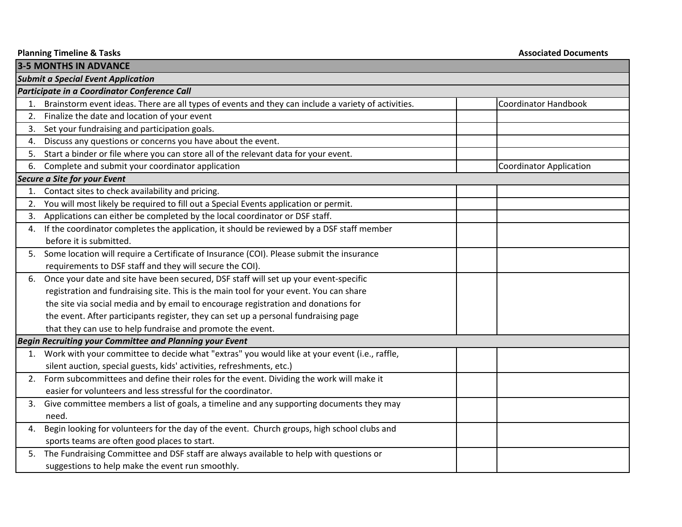| <b>Planning Timeline &amp; Tasks</b> |                                                                                                        | <b>Associated Documents</b>    |  |  |  |  |
|--------------------------------------|--------------------------------------------------------------------------------------------------------|--------------------------------|--|--|--|--|
|                                      | <b>3-5 MONTHS IN ADVANCE</b>                                                                           |                                |  |  |  |  |
|                                      | <b>Submit a Special Event Application</b>                                                              |                                |  |  |  |  |
|                                      | Participate in a Coordinator Conference Call                                                           |                                |  |  |  |  |
|                                      | 1. Brainstorm event ideas. There are all types of events and they can include a variety of activities. | <b>Coordinator Handbook</b>    |  |  |  |  |
| 2.                                   | Finalize the date and location of your event                                                           |                                |  |  |  |  |
| 3.                                   | Set your fundraising and participation goals.                                                          |                                |  |  |  |  |
| 4.                                   | Discuss any questions or concerns you have about the event.                                            |                                |  |  |  |  |
| 5.                                   | Start a binder or file where you can store all of the relevant data for your event.                    |                                |  |  |  |  |
| 6.                                   | Complete and submit your coordinator application                                                       | <b>Coordinator Application</b> |  |  |  |  |
|                                      | Secure a Site for your Event                                                                           |                                |  |  |  |  |
| 1.                                   | Contact sites to check availability and pricing.                                                       |                                |  |  |  |  |
| 2.                                   | You will most likely be required to fill out a Special Events application or permit.                   |                                |  |  |  |  |
| 3.                                   | Applications can either be completed by the local coordinator or DSF staff.                            |                                |  |  |  |  |
| 4.                                   | If the coordinator completes the application, it should be reviewed by a DSF staff member              |                                |  |  |  |  |
|                                      | before it is submitted.                                                                                |                                |  |  |  |  |
|                                      | 5. Some location will require a Certificate of Insurance (COI). Please submit the insurance            |                                |  |  |  |  |
|                                      | requirements to DSF staff and they will secure the COI).                                               |                                |  |  |  |  |
| 6.                                   | Once your date and site have been secured, DSF staff will set up your event-specific                   |                                |  |  |  |  |
|                                      | registration and fundraising site. This is the main tool for your event. You can share                 |                                |  |  |  |  |
|                                      | the site via social media and by email to encourage registration and donations for                     |                                |  |  |  |  |
|                                      | the event. After participants register, they can set up a personal fundraising page                    |                                |  |  |  |  |
|                                      | that they can use to help fundraise and promote the event.                                             |                                |  |  |  |  |
|                                      | Begin Recruiting your Committee and Planning your Event                                                |                                |  |  |  |  |
|                                      | 1. Work with your committee to decide what "extras" you would like at your event (i.e., raffle,        |                                |  |  |  |  |
|                                      | silent auction, special guests, kids' activities, refreshments, etc.)                                  |                                |  |  |  |  |
| 2.                                   | Form subcommittees and define their roles for the event. Dividing the work will make it                |                                |  |  |  |  |
|                                      | easier for volunteers and less stressful for the coordinator.                                          |                                |  |  |  |  |
| 3.                                   | Give committee members a list of goals, a timeline and any supporting documents they may               |                                |  |  |  |  |
|                                      | need.                                                                                                  |                                |  |  |  |  |
| 4.                                   | Begin looking for volunteers for the day of the event. Church groups, high school clubs and            |                                |  |  |  |  |
|                                      | sports teams are often good places to start.                                                           |                                |  |  |  |  |
|                                      | 5. The Fundraising Committee and DSF staff are always available to help with questions or              |                                |  |  |  |  |
|                                      | suggestions to help make the event run smoothly.                                                       |                                |  |  |  |  |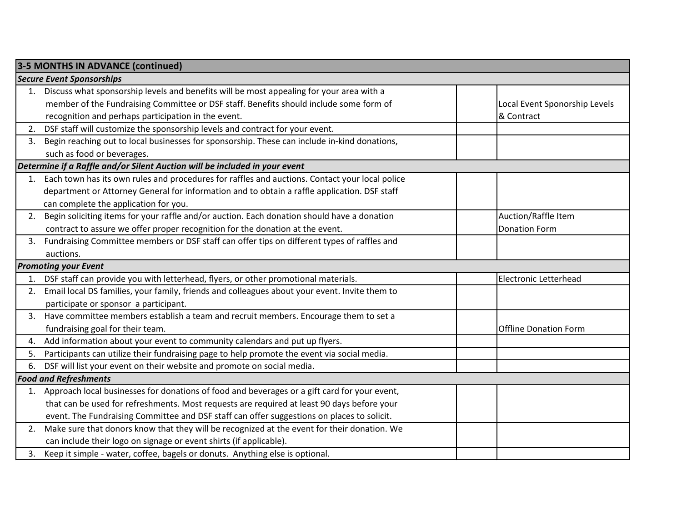|                                  | 3-5 MONTHS IN ADVANCE (continued)                                                               |                               |  |  |
|----------------------------------|-------------------------------------------------------------------------------------------------|-------------------------------|--|--|
| <b>Secure Event Sponsorships</b> |                                                                                                 |                               |  |  |
|                                  | 1. Discuss what sponsorship levels and benefits will be most appealing for your area with a     |                               |  |  |
|                                  | member of the Fundraising Committee or DSF staff. Benefits should include some form of          | Local Event Sponorship Levels |  |  |
|                                  | recognition and perhaps participation in the event.                                             | & Contract                    |  |  |
| 2.                               | DSF staff will customize the sponsorship levels and contract for your event.                    |                               |  |  |
| 3.                               | Begin reaching out to local businesses for sponsorship. These can include in-kind donations,    |                               |  |  |
|                                  | such as food or beverages.                                                                      |                               |  |  |
|                                  | Determine if a Raffle and/or Silent Auction will be included in your event                      |                               |  |  |
| 1.                               | Each town has its own rules and procedures for raffles and auctions. Contact your local police  |                               |  |  |
|                                  | department or Attorney General for information and to obtain a raffle application. DSF staff    |                               |  |  |
|                                  | can complete the application for you.                                                           |                               |  |  |
| 2.                               | Begin soliciting items for your raffle and/or auction. Each donation should have a donation     | Auction/Raffle Item           |  |  |
|                                  | contract to assure we offer proper recognition for the donation at the event.                   | <b>Donation Form</b>          |  |  |
| 3.                               | Fundraising Committee members or DSF staff can offer tips on different types of raffles and     |                               |  |  |
|                                  | auctions.                                                                                       |                               |  |  |
|                                  | <b>Promoting your Event</b>                                                                     |                               |  |  |
|                                  | 1. DSF staff can provide you with letterhead, flyers, or other promotional materials.           | <b>Electronic Letterhead</b>  |  |  |
| 2.                               | Email local DS families, your family, friends and colleagues about your event. Invite them to   |                               |  |  |
|                                  | participate or sponsor a participant.                                                           |                               |  |  |
| 3.                               | Have committee members establish a team and recruit members. Encourage them to set a            |                               |  |  |
|                                  | fundraising goal for their team.                                                                | <b>Offline Donation Form</b>  |  |  |
| 4.                               | Add information about your event to community calendars and put up flyers.                      |                               |  |  |
| 5.                               | Participants can utilize their fundraising page to help promote the event via social media.     |                               |  |  |
| 6.                               | DSF will list your event on their website and promote on social media.                          |                               |  |  |
|                                  | <b>Food and Refreshments</b>                                                                    |                               |  |  |
|                                  | 1. Approach local businesses for donations of food and beverages or a gift card for your event, |                               |  |  |
|                                  | that can be used for refreshments. Most requests are required at least 90 days before your      |                               |  |  |
|                                  | event. The Fundraising Committee and DSF staff can offer suggestions on places to solicit.      |                               |  |  |
| 2.                               | Make sure that donors know that they will be recognized at the event for their donation. We     |                               |  |  |
|                                  | can include their logo on signage or event shirts (if applicable).                              |                               |  |  |
|                                  | 3. Keep it simple - water, coffee, bagels or donuts. Anything else is optional.                 |                               |  |  |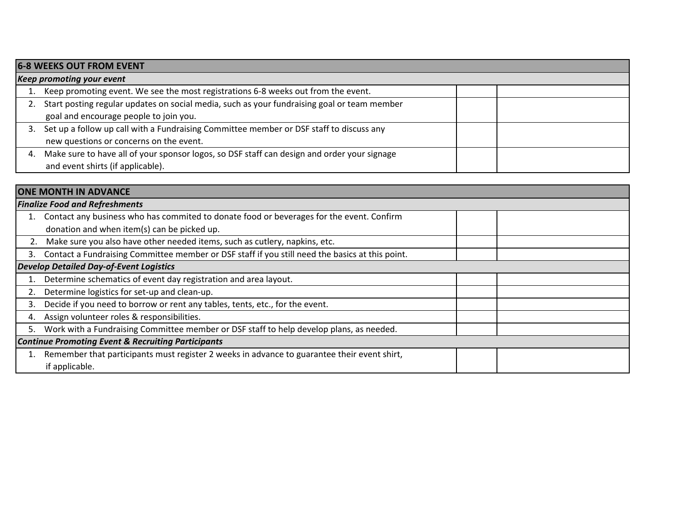| <b>6-8 WEEKS OUT FROM EVENT</b> |                                                                                             |  |  |  |
|---------------------------------|---------------------------------------------------------------------------------------------|--|--|--|
| Keep promoting your event       |                                                                                             |  |  |  |
|                                 | Keep promoting event. We see the most registrations 6-8 weeks out from the event.           |  |  |  |
| 2.                              | Start posting regular updates on social media, such as your fundraising goal or team member |  |  |  |
|                                 | goal and encourage people to join you.                                                      |  |  |  |
| 3.                              | Set up a follow up call with a Fundraising Committee member or DSF staff to discuss any     |  |  |  |
|                                 | new questions or concerns on the event.                                                     |  |  |  |
| 4.                              | Make sure to have all of your sponsor logos, so DSF staff can design and order your signage |  |  |  |
|                                 | and event shirts (if applicable).                                                           |  |  |  |

| <b>ONE MONTH IN ADVANCE</b>                                   |                                                                                                 |  |  |  |
|---------------------------------------------------------------|-------------------------------------------------------------------------------------------------|--|--|--|
| <b>Finalize Food and Refreshments</b>                         |                                                                                                 |  |  |  |
|                                                               | Contact any business who has commited to donate food or beverages for the event. Confirm        |  |  |  |
|                                                               | donation and when item(s) can be picked up.                                                     |  |  |  |
| 2.                                                            | Make sure you also have other needed items, such as cutlery, napkins, etc.                      |  |  |  |
| 3.                                                            | Contact a Fundraising Committee member or DSF staff if you still need the basics at this point. |  |  |  |
|                                                               | <b>Develop Detailed Day-of-Event Logistics</b>                                                  |  |  |  |
|                                                               | Determine schematics of event day registration and area layout.                                 |  |  |  |
|                                                               | Determine logistics for set-up and clean-up.                                                    |  |  |  |
| 3.                                                            | Decide if you need to borrow or rent any tables, tents, etc., for the event.                    |  |  |  |
| 4.                                                            | Assign volunteer roles & responsibilities.                                                      |  |  |  |
| 5.                                                            | Work with a Fundraising Committee member or DSF staff to help develop plans, as needed.         |  |  |  |
| <b>Continue Promoting Event &amp; Recruiting Participants</b> |                                                                                                 |  |  |  |
|                                                               | Remember that participants must register 2 weeks in advance to guarantee their event shirt,     |  |  |  |
|                                                               | if applicable.                                                                                  |  |  |  |